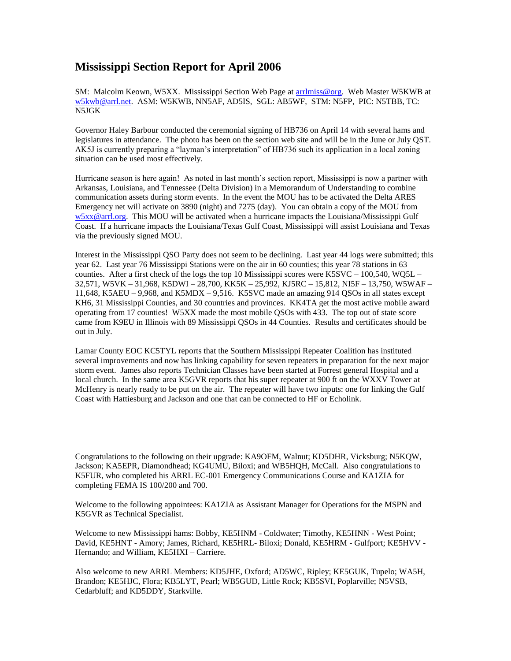## **Mississippi Section Report for April 2006**

SM: Malcolm Keown, W5XX. Mississippi Section Web Page at [arrlmiss@org.](mailto:arrlmiss@org) Web Master W5KWB at [w5kwb@arrl.net.](mailto:w5kwb@arrl.net) ASM: W5KWB, NN5AF, AD5IS, SGL: AB5WF, STM: N5FP, PIC: N5TBB, TC: N5JGK

Governor Haley Barbour conducted the ceremonial signing of HB736 on April 14 with several hams and legislatures in attendance. The photo has been on the section web site and will be in the June or July QST. AK5J is currently preparing a "layman's interpretation" of HB736 such its application in a local zoning situation can be used most effectively.

Hurricane season is here again! As noted in last month's section report, Mississippi is now a partner with Arkansas, Louisiana, and Tennessee (Delta Division) in a Memorandum of Understanding to combine communication assets during storm events. In the event the MOU has to be activated the Delta ARES Emergency net will activate on 3890 (night) and 7275 (day). You can obtain a copy of the MOU from [w5xx@arrl.org.](mailto:w5xx@arrl.org) This MOU will be activated when a hurricane impacts the Louisiana/Mississippi Gulf Coast. If a hurricane impacts the Louisiana/Texas Gulf Coast, Mississippi will assist Louisiana and Texas via the previously signed MOU.

Interest in the Mississippi QSO Party does not seem to be declining. Last year 44 logs were submitted; this year 62. Last year 76 Mississippi Stations were on the air in 60 counties; this year 78 stations in 63 counties. After a first check of the logs the top 10 Mississippi scores were K5SVC – 100,540, WQ5L – 32,571, W5VK – 31,968, K5DWI – 28,700, KK5K – 25,992, KJ5RC – 15,812, NI5F – 13,750, W5WAF – 11,648, K5AEU – 9,968, and K5MDX – 9,516. K5SVC made an amazing 914 QSOs in all states except KH6, 31 Mississippi Counties, and 30 countries and provinces. KK4TA get the most active mobile award operating from 17 counties! W5XX made the most mobile QSOs with 433. The top out of state score came from K9EU in Illinois with 89 Mississippi QSOs in 44 Counties. Results and certificates should be out in July.

Lamar County EOC KC5TYL reports that the Southern Mississippi Repeater Coalition has instituted several improvements and now has linking capability for seven repeaters in preparation for the next major storm event. James also reports Technician Classes have been started at Forrest general Hospital and a local church. In the same area K5GVR reports that his super repeater at 900 ft on the WXXV Tower at McHenry is nearly ready to be put on the air. The repeater will have two inputs: one for linking the Gulf Coast with Hattiesburg and Jackson and one that can be connected to HF or Echolink.

Congratulations to the following on their upgrade: KA9OFM, Walnut; KD5DHR, Vicksburg; N5KQW, Jackson; KA5EPR, Diamondhead; KG4UMU, Biloxi; and WB5HQH, McCall. Also congratulations to K5FUR, who completed his ARRL EC-001 Emergency Communications Course and KA1ZIA for completing FEMA IS 100/200 and 700.

Welcome to the following appointees: KA1ZIA as Assistant Manager for Operations for the MSPN and K5GVR as Technical Specialist.

Welcome to new Mississippi hams: Bobby, KE5HNM - Coldwater; Timothy, KE5HNN - West Point; David, KE5HNT - Amory; James, Richard, KE5HRL- Biloxi; Donald, KE5HRM - Gulfport; KE5HVV - Hernando; and William, KE5HXI – Carriere.

Also welcome to new ARRL Members: KD5JHE, Oxford; AD5WC, Ripley; KE5GUK, Tupelo; WA5H, Brandon; KE5HJC, Flora; KB5LYT, Pearl; WB5GUD, Little Rock; KB5SVI, Poplarville; N5VSB, Cedarbluff; and KD5DDY, Starkville.